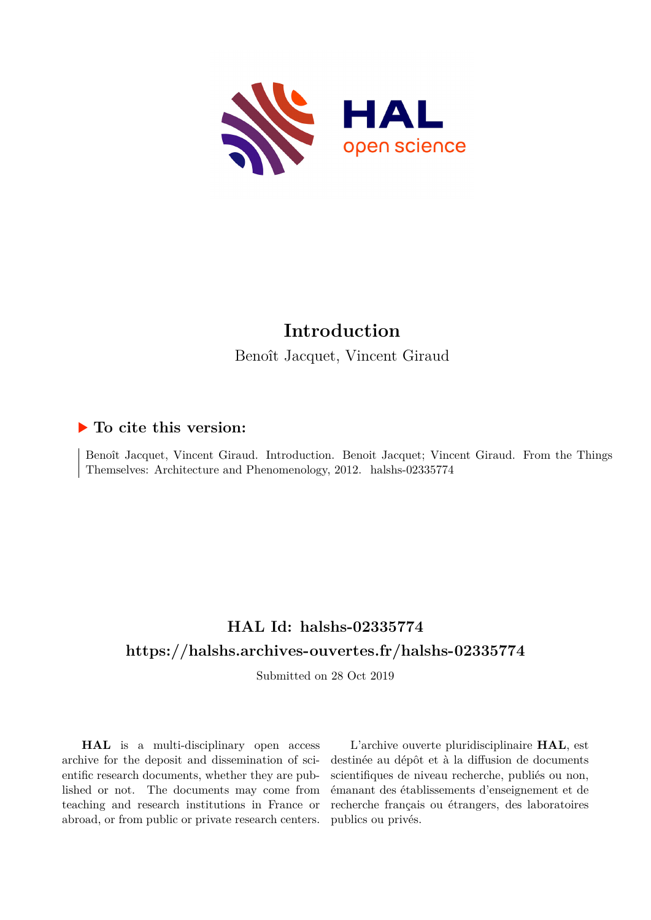

# **Introduction**

Benoît Jacquet, Vincent Giraud

### **To cite this version:**

Benoît Jacquet, Vincent Giraud. Introduction. Benoit Jacquet; Vincent Giraud. From the Things Themselves: Architecture and Phenomenology, 2012. halshs-02335774

## **HAL Id: halshs-02335774 <https://halshs.archives-ouvertes.fr/halshs-02335774>**

Submitted on 28 Oct 2019

**HAL** is a multi-disciplinary open access archive for the deposit and dissemination of scientific research documents, whether they are published or not. The documents may come from teaching and research institutions in France or abroad, or from public or private research centers.

L'archive ouverte pluridisciplinaire **HAL**, est destinée au dépôt et à la diffusion de documents scientifiques de niveau recherche, publiés ou non, émanant des établissements d'enseignement et de recherche français ou étrangers, des laboratoires publics ou privés.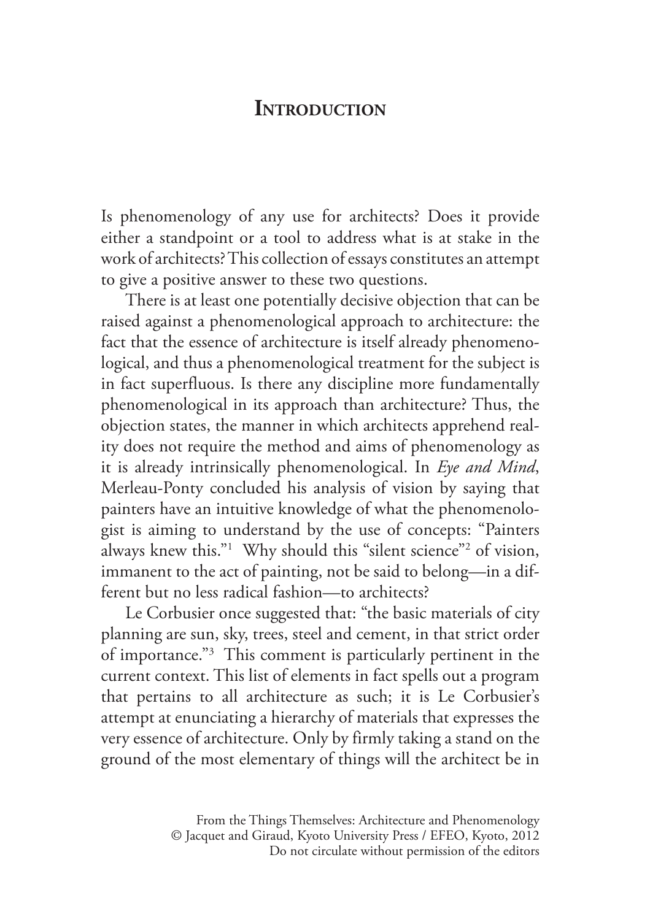#### **INTRODUCTION**

Is phenomenology of any use for architects? Does it provide either a standpoint or a tool to address what is at stake in the work of architects? This collection of essays constitutes an attempt to give a positive answer to these two questions.

 There is at least one potentially decisive objection that can be raised against a phenomenological approach to architecture: the fact that the essence of architecture is itself already phenomenological, and thus a phenomenological treatment for the subject is in fact superfluous. Is there any discipline more fundamentally phenomenological in its approach than architecture? Thus, the objection states, the manner in which architects apprehend reality does not require the method and aims of phenomenology as it is already intrinsically phenomenological. In *Eye and Mind*, Merleau-Ponty concluded his analysis of vision by saying that painters have an intuitive knowledge of what the phenomenologist is aiming to understand by the use of concepts: "Painters always knew this."1 Why should this "silent science"2 of vision, immanent to the act of painting, not be said to belong—in a different but no less radical fashion—to architects?

 Le Corbusier once suggested that: "the basic materials of city planning are sun, sky, trees, steel and cement, in that strict order of importance."3 This comment is particularly pertinent in the current context. This list of elements in fact spells out a program that pertains to all architecture as such; it is Le Corbusier's attempt at enunciating a hierarchy of materials that expresses the very essence of architecture. Only by firmly taking a stand on the ground of the most elementary of things will the architect be in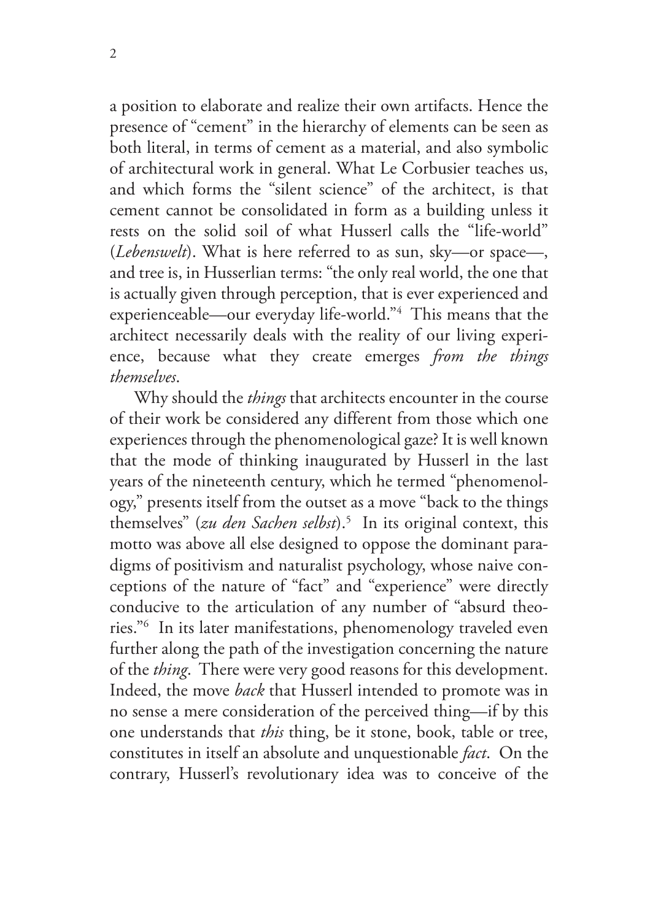a position to elaborate and realize their own artifacts. Hence the presence of "cement" in the hierarchy of elements can be seen as both literal, in terms of cement as a material, and also symbolic of architectural work in general. What Le Corbusier teaches us, and which forms the "silent science" of the architect, is that cement cannot be consolidated in form as a building unless it rests on the solid soil of what Husserl calls the "life-world" (*Lebenswelt*). What is here referred to as sun, sky—or space—, and tree is, in Husserlian terms: "the only real world, the one that is actually given through perception, that is ever experienced and experienceable—our everyday life-world."4 This means that the architect necessarily deals with the reality of our living experience, because what they create emerges *from the things themselves*.

 Why should the *things* that architects encounter in the course of their work be considered any different from those which one experiences through the phenomenological gaze? It is well known that the mode of thinking inaugurated by Husserl in the last years of the nineteenth century, which he termed "phenomenology," presents itself from the outset as a move "back to the things themselves" (*zu den Sachen selbst*).5 In its original context, this motto was above all else designed to oppose the dominant paradigms of positivism and naturalist psychology, whose naive conceptions of the nature of "fact" and "experience" were directly conducive to the articulation of any number of "absurd theories."6 In its later manifestations, phenomenology traveled even further along the path of the investigation concerning the nature of the *thing*. There were very good reasons for this development. Indeed, the move *back* that Husserl intended to promote was in no sense a mere consideration of the perceived thing—if by this one understands that *this* thing, be it stone, book, table or tree, constitutes in itself an absolute and unquestionable *fact*. On the contrary, Husserl's revolutionary idea was to conceive of the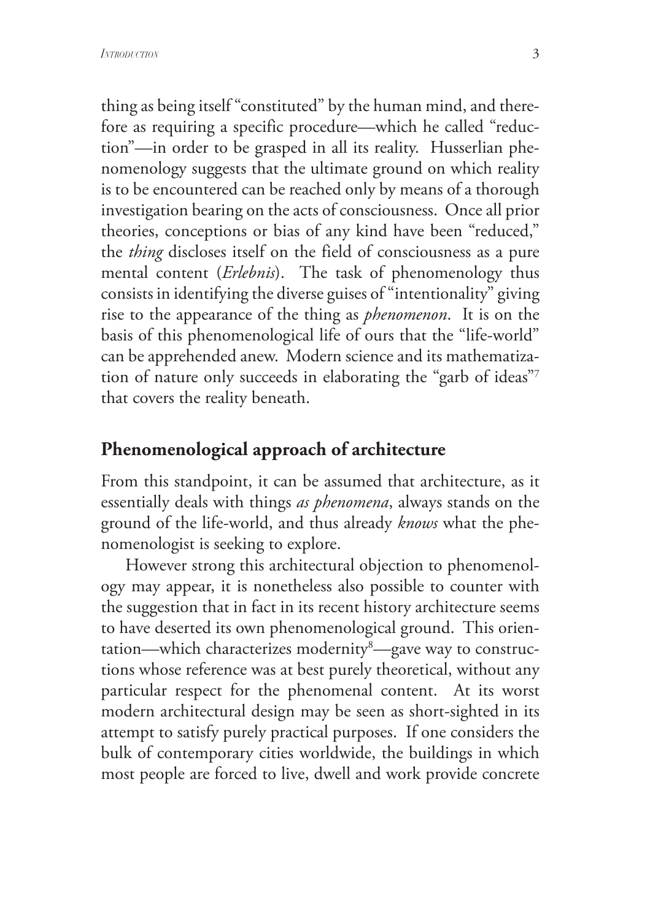thing as being itself "constituted" by the human mind, and therefore as requiring a specific procedure—which he called "reduction"—in order to be grasped in all its reality. Husserlian phenomenology suggests that the ultimate ground on which reality is to be encountered can be reached only by means of a thorough investigation bearing on the acts of consciousness. Once all prior theories, conceptions or bias of any kind have been "reduced," the *thing* discloses itself on the field of consciousness as a pure mental content (*Erlebnis*). The task of phenomenology thus consists in identifying the diverse guises of "intentionality" giving rise to the appearance of the thing as *phenomenon*. It is on the basis of this phenomenological life of ours that the "life-world" can be apprehended anew. Modern science and its mathematization of nature only succeeds in elaborating the "garb of ideas"7 that covers the reality beneath.

#### **Phenomenological approach of architecture**

From this standpoint, it can be assumed that architecture, as it essentially deals with things *as phenomena*, always stands on the ground of the life-world, and thus already *knows* what the phenomenologist is seeking to explore.

 However strong this architectural objection to phenomenology may appear, it is nonetheless also possible to counter with the suggestion that in fact in its recent history architecture seems to have deserted its own phenomenological ground. This orientation—which characterizes modernity<sup>8</sup>—gave way to constructions whose reference was at best purely theoretical, without any particular respect for the phenomenal content. At its worst modern architectural design may be seen as short-sighted in its attempt to satisfy purely practical purposes. If one considers the bulk of contemporary cities worldwide, the buildings in which most people are forced to live, dwell and work provide concrete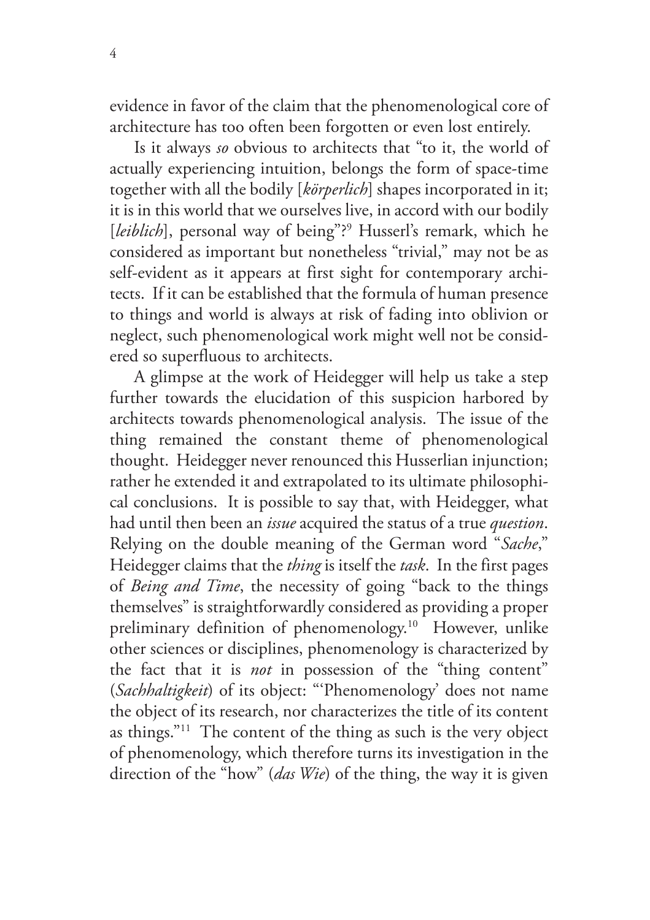evidence in favor of the claim that the phenomenological core of architecture has too often been forgotten or even lost entirely.

 Is it always *so* obvious to architects that "to it, the world of actually experiencing intuition, belongs the form of space-time together with all the bodily [*körperlich*] shapes incorporated in it; it is in this world that we ourselves live, in accord with our bodily [leiblich], personal way of being"?<sup>9</sup> Husserl's remark, which he considered as important but nonetheless "trivial," may not be as self-evident as it appears at first sight for contemporary architects. If it can be established that the formula of human presence to things and world is always at risk of fading into oblivion or neglect, such phenomenological work might well not be considered so superfluous to architects.

 A glimpse at the work of Heidegger will help us take a step further towards the elucidation of this suspicion harbored by architects towards phenomenological analysis. The issue of the thing remained the constant theme of phenomenological thought. Heidegger never renounced this Husserlian injunction; rather he extended it and extrapolated to its ultimate philosophical conclusions. It is possible to say that, with Heidegger, what had until then been an *issue* acquired the status of a true *question*. Relying on the double meaning of the German word "*Sache*," Heidegger claims that the *thing* is itself the *task*. In the first pages of *Being and Time*, the necessity of going "back to the things themselves" is straightforwardly considered as providing a proper preliminary definition of phenomenology.10 However, unlike other sciences or disciplines, phenomenology is characterized by the fact that it is *not* in possession of the "thing content" (*Sachhaltigkeit*) of its object: "'Phenomenology' does not name the object of its research, nor characterizes the title of its content as things."11 The content of the thing as such is the very object of phenomenology, which therefore turns its investigation in the direction of the "how" (*das Wie*) of the thing, the way it is given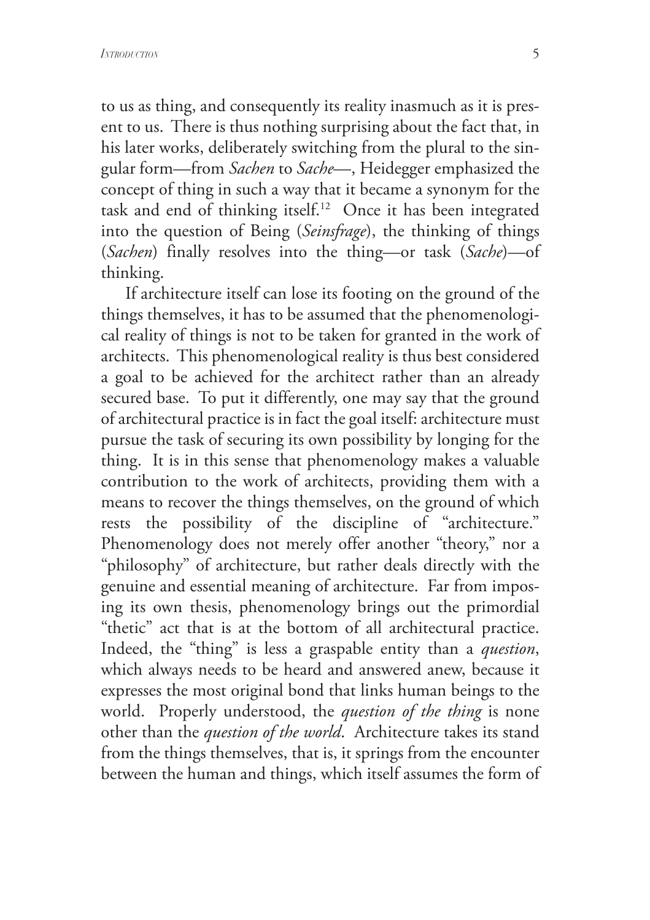to us as thing, and consequently its reality inasmuch as it is present to us. There is thus nothing surprising about the fact that, in his later works, deliberately switching from the plural to the singular form—from *Sachen* to *Sache*—, Heidegger emphasized the concept of thing in such a way that it became a synonym for the task and end of thinking itself.12 Once it has been integrated into the question of Being (*Seinsfrage*), the thinking of things (*Sachen*) finally resolves into the thing—or task (*Sache*)—of thinking.

 If architecture itself can lose its footing on the ground of the things themselves, it has to be assumed that the phenomenological reality of things is not to be taken for granted in the work of architects. This phenomenological reality is thus best considered a goal to be achieved for the architect rather than an already secured base. To put it differently, one may say that the ground of architectural practice is in fact the goal itself: architecture must pursue the task of securing its own possibility by longing for the thing. It is in this sense that phenomenology makes a valuable contribution to the work of architects, providing them with a means to recover the things themselves, on the ground of which rests the possibility of the discipline of "architecture." Phenomenology does not merely offer another "theory," nor a "philosophy" of architecture, but rather deals directly with the genuine and essential meaning of architecture. Far from imposing its own thesis, phenomenology brings out the primordial "thetic" act that is at the bottom of all architectural practice. Indeed, the "thing" is less a graspable entity than a *question*, which always needs to be heard and answered anew, because it expresses the most original bond that links human beings to the world. Properly understood, the *question of the thing* is none other than the *question of the world*. Architecture takes its stand from the things themselves, that is, it springs from the encounter between the human and things, which itself assumes the form of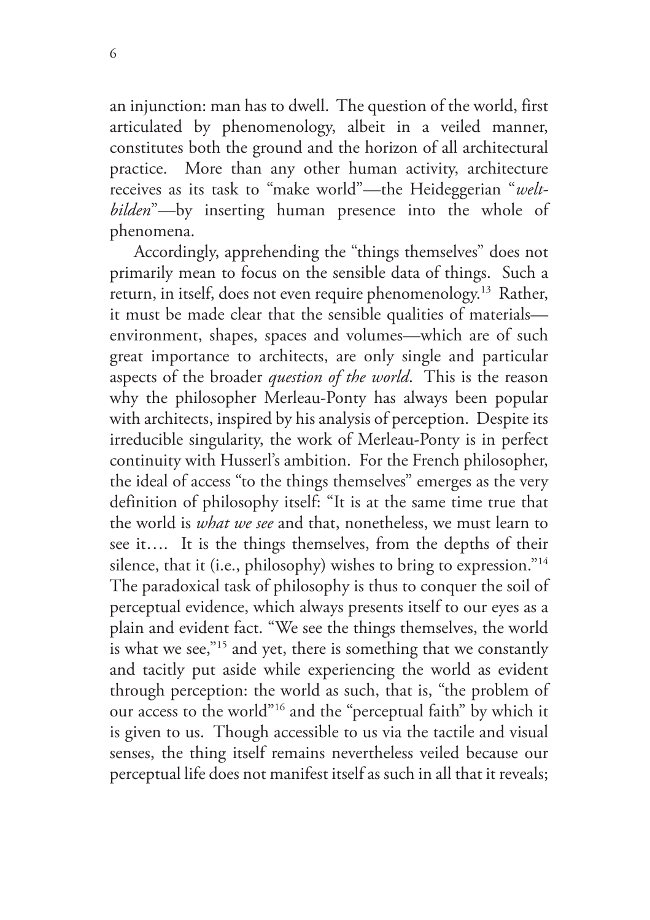an injunction: man has to dwell. The question of the world, first articulated by phenomenology, albeit in a veiled manner, constitutes both the ground and the horizon of all architectural practice. More than any other human activity, architecture receives as its task to "make world"—the Heideggerian "*weltbilden*"—by inserting human presence into the whole of phenomena.

 Accordingly, apprehending the "things themselves" does not primarily mean to focus on the sensible data of things. Such a return, in itself, does not even require phenomenology.13 Rather, it must be made clear that the sensible qualities of materials environment, shapes, spaces and volumes—which are of such great importance to architects, are only single and particular aspects of the broader *question of the world*. This is the reason why the philosopher Merleau-Ponty has always been popular with architects, inspired by his analysis of perception. Despite its irreducible singularity, the work of Merleau-Ponty is in perfect continuity with Husserl's ambition. For the French philosopher, the ideal of access "to the things themselves" emerges as the very definition of philosophy itself: "It is at the same time true that the world is *what we see* and that, nonetheless, we must learn to see it…. It is the things themselves, from the depths of their silence, that it (i.e., philosophy) wishes to bring to expression."<sup>14</sup> The paradoxical task of philosophy is thus to conquer the soil of perceptual evidence, which always presents itself to our eyes as a plain and evident fact. "We see the things themselves, the world is what we see,"15 and yet, there is something that we constantly and tacitly put aside while experiencing the world as evident through perception: the world as such, that is, "the problem of our access to the world"16 and the "perceptual faith" by which it is given to us. Though accessible to us via the tactile and visual senses, the thing itself remains nevertheless veiled because our perceptual life does not manifest itself as such in all that it reveals;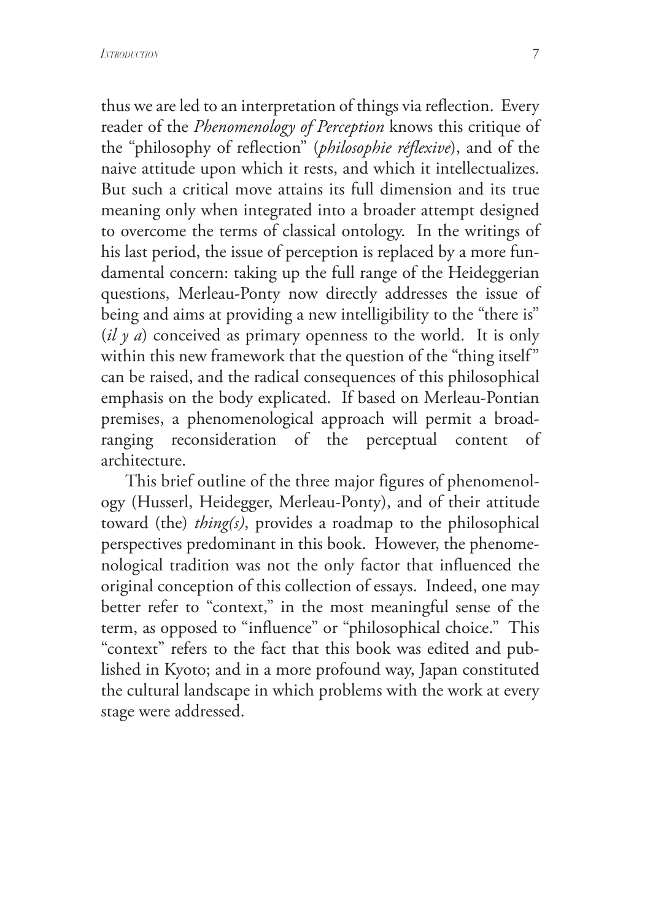thus we are led to an interpretation of things via reflection. Every reader of the *Phenomenology of Perception* knows this critique of the "philosophy of reflection" (*philosophie réflexive*), and of the naive attitude upon which it rests, and which it intellectualizes. But such a critical move attains its full dimension and its true meaning only when integrated into a broader attempt designed to overcome the terms of classical ontology. In the writings of his last period, the issue of perception is replaced by a more fundamental concern: taking up the full range of the Heideggerian questions, Merleau-Ponty now directly addresses the issue of being and aims at providing a new intelligibility to the "there is" (*il y a*) conceived as primary openness to the world. It is only within this new framework that the question of the "thing itself" can be raised, and the radical consequences of this philosophical emphasis on the body explicated. If based on Merleau-Pontian premises, a phenomenological approach will permit a broadranging reconsideration of the perceptual content of architecture.

 This brief outline of the three major figures of phenomenology (Husserl, Heidegger, Merleau-Ponty), and of their attitude toward (the) *thing(s)*, provides a roadmap to the philosophical perspectives predominant in this book. However, the phenomenological tradition was not the only factor that influenced the original conception of this collection of essays. Indeed, one may better refer to "context," in the most meaningful sense of the term, as opposed to "influence" or "philosophical choice." This "context" refers to the fact that this book was edited and published in Kyoto; and in a more profound way, Japan constituted the cultural landscape in which problems with the work at every stage were addressed.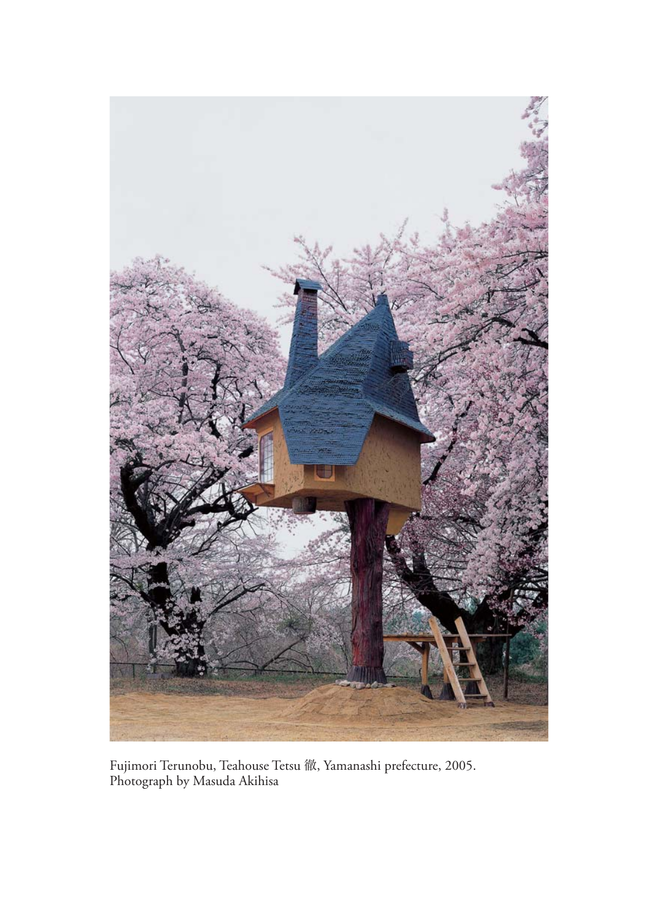

Fujimori Terunobu, Teahouse Tetsu 徹, Yamanashi prefecture, 2005. Photograph by Masuda Akihisa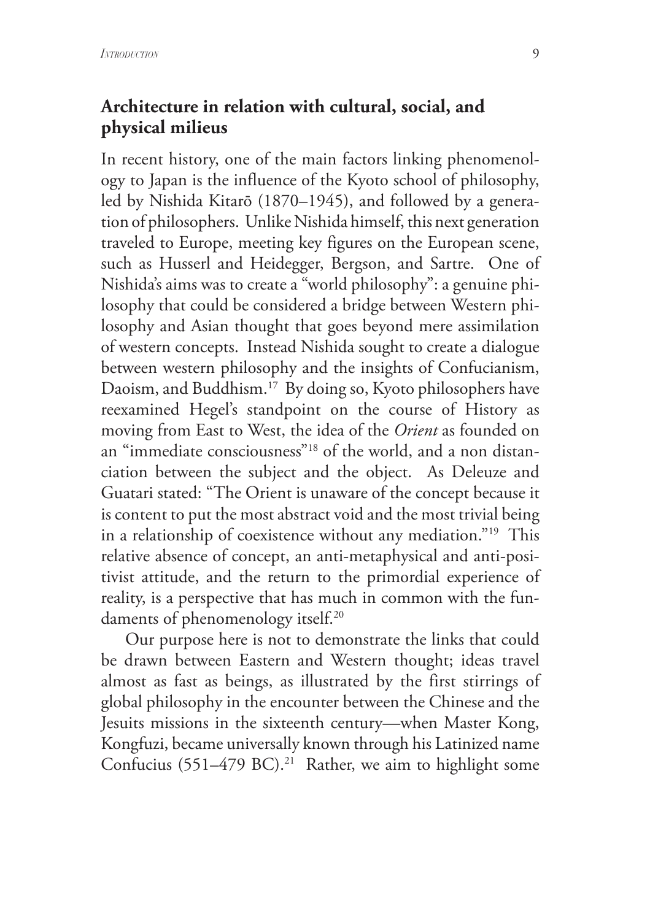#### **Architecture in relation with cultural, social, and physical milieus**

In recent history, one of the main factors linking phenomenology to Japan is the influence of the Kyoto school of philosophy, led by Nishida Kitarō (1870–1945), and followed by a generation of philosophers. Unlike Nishida himself, this next generation traveled to Europe, meeting key figures on the European scene, such as Husserl and Heidegger, Bergson, and Sartre. One of Nishida's aims was to create a "world philosophy": a genuine philosophy that could be considered a bridge between Western philosophy and Asian thought that goes beyond mere assimilation of western concepts. Instead Nishida sought to create a dialogue between western philosophy and the insights of Confucianism, Daoism, and Buddhism.17 By doing so, Kyoto philosophers have reexamined Hegel's standpoint on the course of History as moving from East to West, the idea of the *Orient* as founded on an "immediate consciousness"18 of the world, and a non distanciation between the subject and the object. As Deleuze and Guatari stated: "The Orient is unaware of the concept because it is content to put the most abstract void and the most trivial being in a relationship of coexistence without any mediation."19 This relative absence of concept, an anti-metaphysical and anti-positivist attitude, and the return to the primordial experience of reality, is a perspective that has much in common with the fundaments of phenomenology itself.<sup>20</sup>

 Our purpose here is not to demonstrate the links that could be drawn between Eastern and Western thought; ideas travel almost as fast as beings, as illustrated by the first stirrings of global philosophy in the encounter between the Chinese and the Jesuits missions in the sixteenth century—when Master Kong, Kongfuzi, became universally known through his Latinized name Confucius (551–479 BC).<sup>21</sup> Rather, we aim to highlight some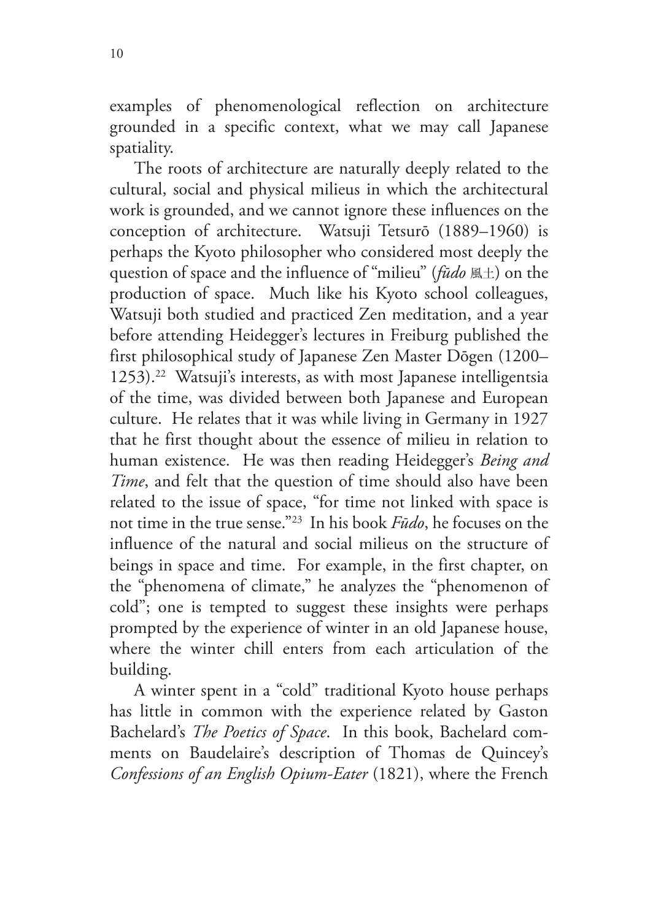10

examples of phenomenological reflection on architecture grounded in a specific context, what we may call Japanese spatiality.

 The roots of architecture are naturally deeply related to the cultural, social and physical milieus in which the architectural work is grounded, and we cannot ignore these influences on the conception of architecture. Watsuji Tetsurō (1889–1960) is perhaps the Kyoto philosopher who considered most deeply the question of space and the influence of "milieu" (*fūdo* 風土) on the production of space. Much like his Kyoto school colleagues, Watsuji both studied and practiced Zen meditation, and a year before attending Heidegger's lectures in Freiburg published the first philosophical study of Japanese Zen Master Dōgen (1200– 1253).22 Watsuji's interests, as with most Japanese intelligentsia of the time, was divided between both Japanese and European culture. He relates that it was while living in Germany in 1927 that he first thought about the essence of milieu in relation to human existence. He was then reading Heidegger's *Being and Time*, and felt that the question of time should also have been related to the issue of space, "for time not linked with space is not time in the true sense."23 In his book *Fūdo*, he focuses on the influence of the natural and social milieus on the structure of beings in space and time. For example, in the first chapter, on the "phenomena of climate," he analyzes the "phenomenon of cold"; one is tempted to suggest these insights were perhaps prompted by the experience of winter in an old Japanese house, where the winter chill enters from each articulation of the building.

 A winter spent in a "cold" traditional Kyoto house perhaps has little in common with the experience related by Gaston Bachelard's *The Poetics of Space*. In this book, Bachelard comments on Baudelaire's description of Thomas de Quincey's *Confessions of an English Opium-Eater* (1821), where the French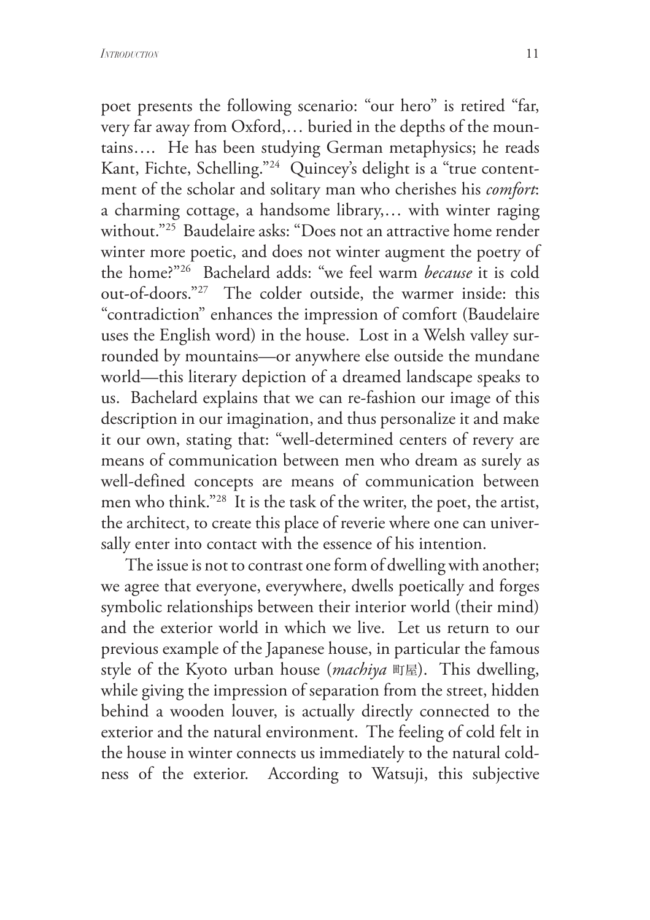poet presents the following scenario: "our hero" is retired "far, very far away from Oxford,… buried in the depths of the mountains…. He has been studying German metaphysics; he reads Kant, Fichte, Schelling."24 Quincey's delight is a "true contentment of the scholar and solitary man who cherishes his *comfort*: a charming cottage, a handsome library,… with winter raging without."25 Baudelaire asks: "Does not an attractive home render winter more poetic, and does not winter augment the poetry of the home?"26 Bachelard adds: "we feel warm *because* it is cold out-of-doors."27 The colder outside, the warmer inside: this "contradiction" enhances the impression of comfort (Baudelaire uses the English word) in the house. Lost in a Welsh valley surrounded by mountains—or anywhere else outside the mundane world—this literary depiction of a dreamed landscape speaks to us. Bachelard explains that we can re-fashion our image of this description in our imagination, and thus personalize it and make it our own, stating that: "well-determined centers of revery are means of communication between men who dream as surely as well-defined concepts are means of communication between men who think."28 It is the task of the writer, the poet, the artist, the architect, to create this place of reverie where one can universally enter into contact with the essence of his intention.

 The issue is not to contrast one form of dwelling with another; we agree that everyone, everywhere, dwells poetically and forges symbolic relationships between their interior world (their mind) and the exterior world in which we live. Let us return to our previous example of the Japanese house, in particular the famous style of the Kyoto urban house (*machiya* 町屋). This dwelling, while giving the impression of separation from the street, hidden behind a wooden louver, is actually directly connected to the exterior and the natural environment. The feeling of cold felt in the house in winter connects us immediately to the natural coldness of the exterior. According to Watsuji, this subjective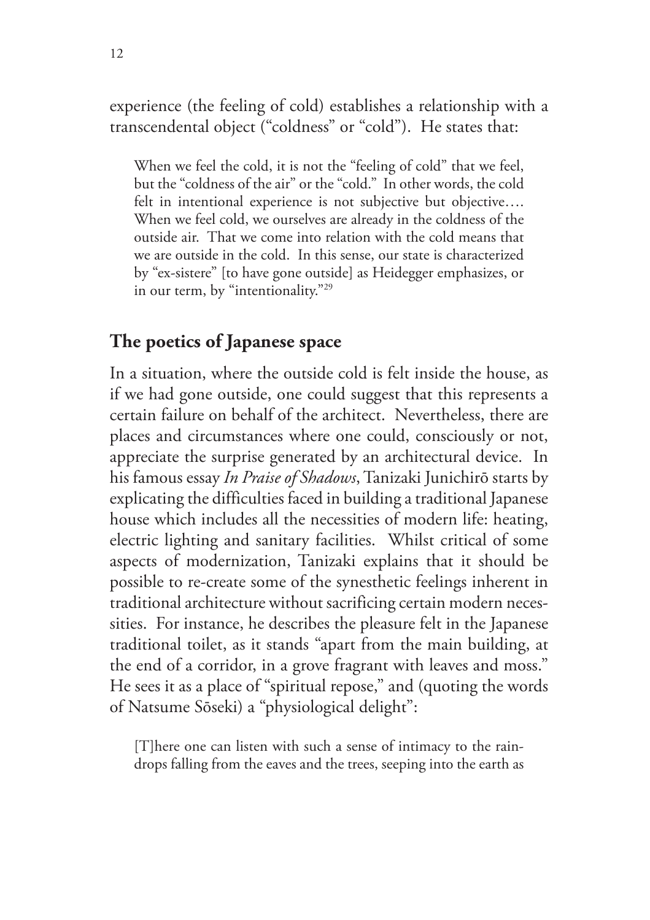experience (the feeling of cold) establishes a relationship with a transcendental object ("coldness" or "cold"). He states that:

When we feel the cold, it is not the "feeling of cold" that we feel, but the "coldness of the air" or the "cold." In other words, the cold felt in intentional experience is not subjective but objective.... When we feel cold, we ourselves are already in the coldness of the outside air. That we come into relation with the cold means that we are outside in the cold. In this sense, our state is characterized by "ex-sistere" [to have gone outside] as Heidegger emphasizes, or in our term, by "intentionality."29

#### **The poetics of Japanese space**

In a situation, where the outside cold is felt inside the house, as if we had gone outside, one could suggest that this represents a certain failure on behalf of the architect. Nevertheless, there are places and circumstances where one could, consciously or not, appreciate the surprise generated by an architectural device. In his famous essay *In Praise of Shadows*, Tanizaki Junichirō starts by explicating the difficulties faced in building a traditional Japanese house which includes all the necessities of modern life: heating, electric lighting and sanitary facilities. Whilst critical of some aspects of modernization, Tanizaki explains that it should be possible to re-create some of the synesthetic feelings inherent in traditional architecture without sacrificing certain modern necessities. For instance, he describes the pleasure felt in the Japanese traditional toilet, as it stands "apart from the main building, at the end of a corridor, in a grove fragrant with leaves and moss." He sees it as a place of "spiritual repose," and (quoting the words of Natsume Sōseki) a "physiological delight":

[T]here one can listen with such a sense of intimacy to the raindrops falling from the eaves and the trees, seeping into the earth as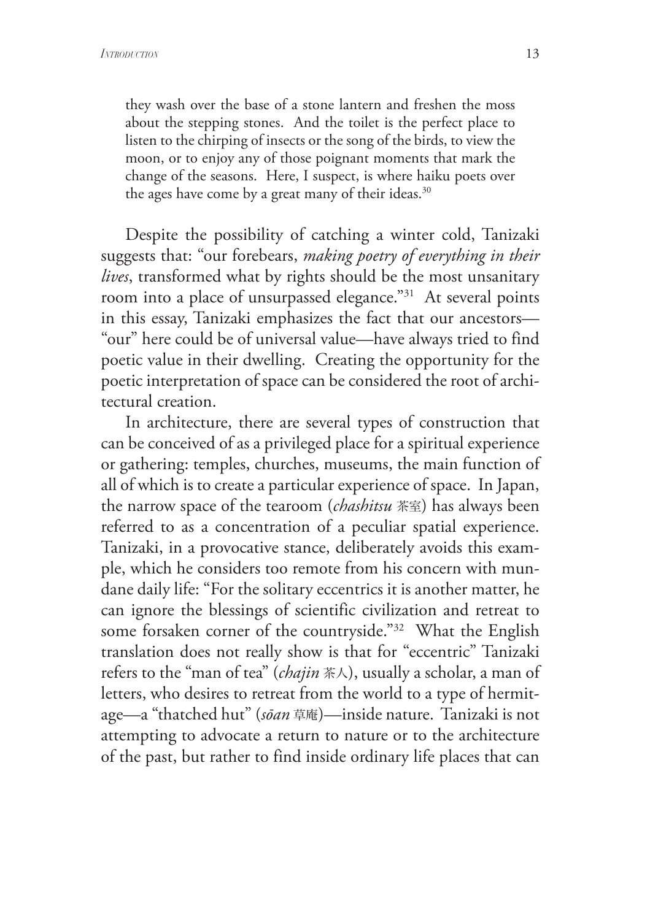they wash over the base of a stone lantern and freshen the moss about the stepping stones. And the toilet is the perfect place to listen to the chirping of insects or the song of the birds, to view the moon, or to enjoy any of those poignant moments that mark the change of the seasons. Here, I suspect, is where haiku poets over the ages have come by a great many of their ideas.<sup>30</sup>

 Despite the possibility of catching a winter cold, Tanizaki suggests that: "our forebears, *making poetry of everything in their lives*, transformed what by rights should be the most unsanitary room into a place of unsurpassed elegance."31 At several points in this essay, Tanizaki emphasizes the fact that our ancestors— "our" here could be of universal value—have always tried to find poetic value in their dwelling. Creating the opportunity for the poetic interpretation of space can be considered the root of architectural creation.

 In architecture, there are several types of construction that can be conceived of as a privileged place for a spiritual experience or gathering: temples, churches, museums, the main function of all of which is to create a particular experience of space. In Japan, the narrow space of the tearoom (*chashitsu* 茶室) has always been referred to as a concentration of a peculiar spatial experience. Tanizaki, in a provocative stance, deliberately avoids this example, which he considers too remote from his concern with mundane daily life: "For the solitary eccentrics it is another matter, he can ignore the blessings of scientific civilization and retreat to some forsaken corner of the countryside."32 What the English translation does not really show is that for "eccentric" Tanizaki refers to the "man of tea" (*chajin* 茶人), usually a scholar, a man of letters, who desires to retreat from the world to a type of hermitage—a "thatched hut" (*sōan* 草庵)—inside nature. Tanizaki is not attempting to advocate a return to nature or to the architecture of the past, but rather to find inside ordinary life places that can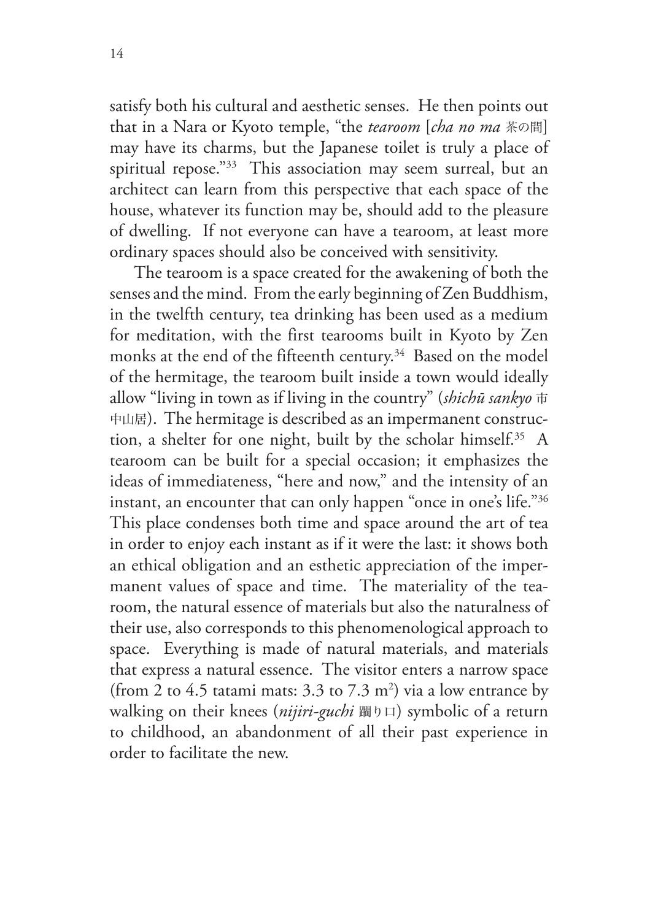satisfy both his cultural and aesthetic senses. He then points out that in a Nara or Kyoto temple, "the *tearoom* [*cha no ma* 茶の間] may have its charms, but the Japanese toilet is truly a place of spiritual repose."33 This association may seem surreal, but an architect can learn from this perspective that each space of the house, whatever its function may be, should add to the pleasure of dwelling. If not everyone can have a tearoom, at least more ordinary spaces should also be conceived with sensitivity.

 The tearoom is a space created for the awakening of both the senses and the mind. From the early beginning of Zen Buddhism, in the twelfth century, tea drinking has been used as a medium for meditation, with the first tearooms built in Kyoto by Zen monks at the end of the fifteenth century.<sup>34</sup> Based on the model of the hermitage, the tearoom built inside a town would ideally allow "living in town as if living in the country" (*shichū sankyo* <sup>市</sup> 中山居). The hermitage is described as an impermanent construction, a shelter for one night, built by the scholar himself.35 A tearoom can be built for a special occasion; it emphasizes the ideas of immediateness, "here and now," and the intensity of an instant, an encounter that can only happen "once in one's life."36 This place condenses both time and space around the art of tea in order to enjoy each instant as if it were the last: it shows both an ethical obligation and an esthetic appreciation of the impermanent values of space and time. The materiality of the tearoom, the natural essence of materials but also the naturalness of their use, also corresponds to this phenomenological approach to space. Everything is made of natural materials, and materials that express a natural essence. The visitor enters a narrow space (from 2 to 4.5 tatami mats:  $3.3$  to  $7.3$  m<sup>2</sup>) via a low entrance by walking on their knees (*nijiri-guchi* 躙り口) symbolic of a return to childhood, an abandonment of all their past experience in order to facilitate the new.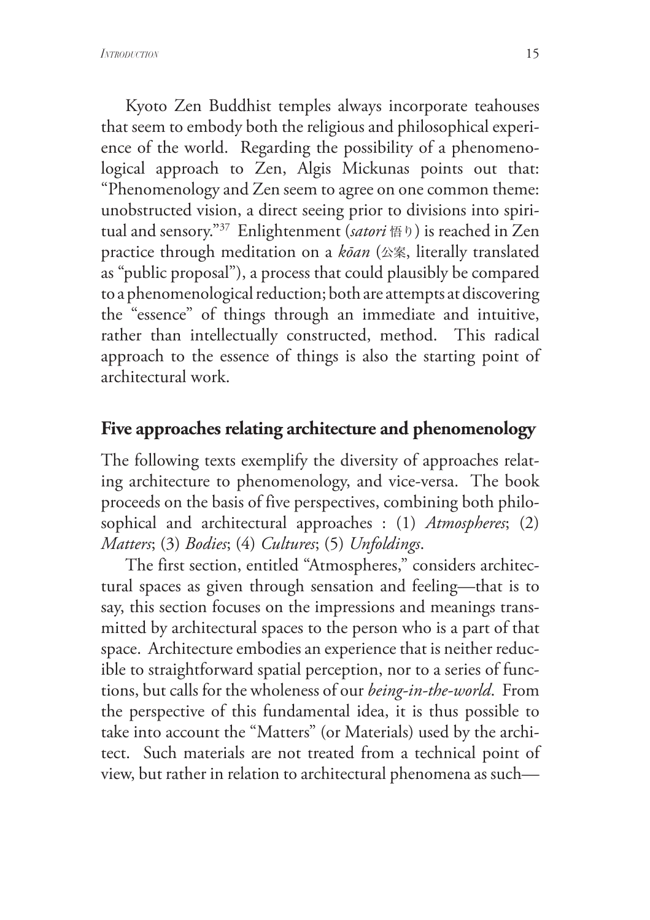Kyoto Zen Buddhist temples always incorporate teahouses that seem to embody both the religious and philosophical experience of the world. Regarding the possibility of a phenomenological approach to Zen, Algis Mickunas points out that: "Phenomenology and Zen seem to agree on one common theme: unobstructed vision, a direct seeing prior to divisions into spiritual and sensory."37 Enlightenment (*satori* 悟り) is reached in Zen practice through meditation on a *kōan* (公案, literally translated as "public proposal"), a process that could plausibly be compared to a phenomenological reduction; both are attempts at discovering the "essence" of things through an immediate and intuitive, rather than intellectually constructed, method. This radical approach to the essence of things is also the starting point of architectural work.

#### **Five approaches relating architecture and phenomenology**

The following texts exemplify the diversity of approaches relating architecture to phenomenology, and vice-versa. The book proceeds on the basis of five perspectives, combining both philosophical and architectural approaches : (1) *Atmospheres*; (2) *Matters*; (3) *Bodies*; (4) *Cultures*; (5) *Unfoldings*.

 The first section, entitled "Atmospheres," considers architectural spaces as given through sensation and feeling—that is to say, this section focuses on the impressions and meanings transmitted by architectural spaces to the person who is a part of that space. Architecture embodies an experience that is neither reducible to straightforward spatial perception, nor to a series of functions, but calls for the wholeness of our *being-in-the-world*. From the perspective of this fundamental idea, it is thus possible to take into account the "Matters" (or Materials) used by the architect. Such materials are not treated from a technical point of view, but rather in relation to architectural phenomena as such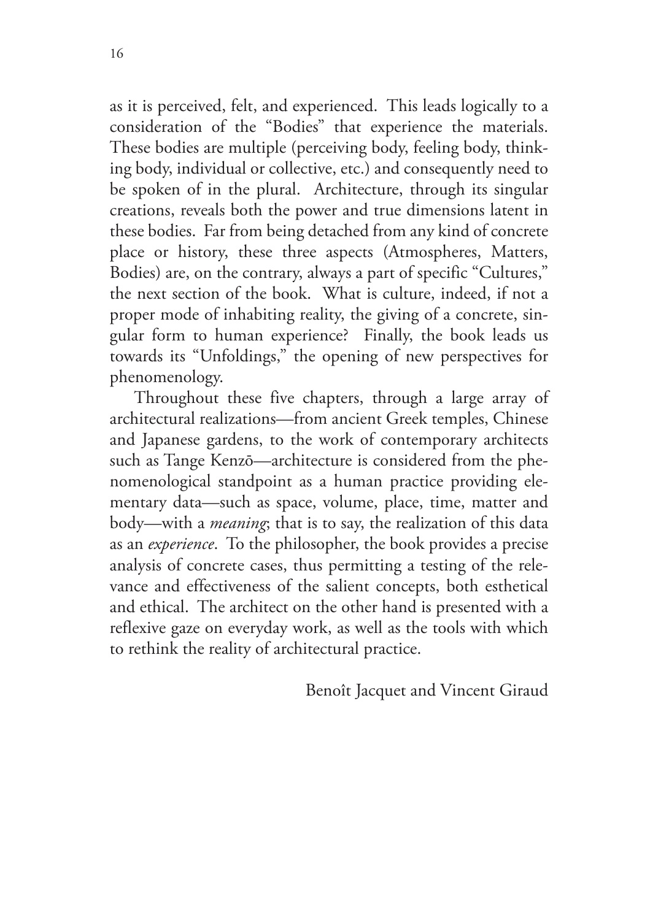as it is perceived, felt, and experienced. This leads logically to a consideration of the "Bodies" that experience the materials. These bodies are multiple (perceiving body, feeling body, thinking body, individual or collective, etc.) and consequently need to be spoken of in the plural. Architecture, through its singular creations, reveals both the power and true dimensions latent in these bodies. Far from being detached from any kind of concrete place or history, these three aspects (Atmospheres, Matters, Bodies) are, on the contrary, always a part of specific "Cultures," the next section of the book. What is culture, indeed, if not a proper mode of inhabiting reality, the giving of a concrete, singular form to human experience? Finally, the book leads us towards its "Unfoldings," the opening of new perspectives for phenomenology.

 Throughout these five chapters, through a large array of architectural realizations—from ancient Greek temples, Chinese and Japanese gardens, to the work of contemporary architects such as Tange Kenzō—architecture is considered from the phenomenological standpoint as a human practice providing elementary data—such as space, volume, place, time, matter and body—with a *meaning*; that is to say, the realization of this data as an *experience*. To the philosopher, the book provides a precise analysis of concrete cases, thus permitting a testing of the relevance and effectiveness of the salient concepts, both esthetical and ethical. The architect on the other hand is presented with a reflexive gaze on everyday work, as well as the tools with which to rethink the reality of architectural practice.

Benoît Jacquet and Vincent Giraud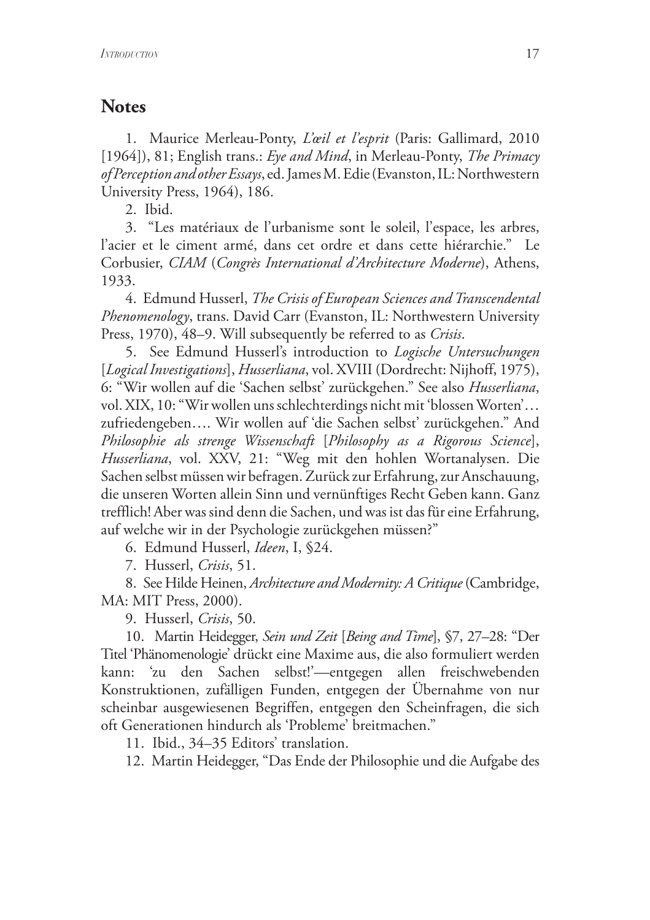#### **Notes**

 1. Maurice Merleau-Ponty, *L'œil et l'esprit* (Paris: Gallimard, 2010 [1964]), 81; English trans.: *Eye and Mind*, in Merleau-Ponty, *The Primacy of Perception and other Essays*, ed. James M. Edie (Evanston, IL: Northwestern University Press, 1964), 186.

2. Ibid.

 3. "Les matériaux de l'urbanisme sont le soleil, l'espace, les arbres, l'acier et le ciment armé, dans cet ordre et dans cette hiérarchie." Le Corbusier, *CIAM* (*Congrès International d'Architecture Moderne*), Athens, 1933.

4. Edmund Husserl, *The Crisis of European Sciences and Transcendental Phenomenology*, trans. David Carr (Evanston, IL: Northwestern University Press, 1970), 48–9. Will subsequently be referred to as *Crisis*.

5. See Edmund Husserl's introduction to *Logische Untersuchungen* [*Logical Investigations*], *Husserliana*, vol. XVIII (Dordrecht: Nijhoff, 1975), 6: "Wir wollen auf die 'Sachen selbst' zurückgehen." See also *Husserliana*, vol. XIX, 10: "Wir wollen uns schlechterdings nicht mit 'blossen Worten'… zufriedengeben…. Wir wollen auf 'die Sachen selbst' zurückgehen." And *Philosophie als strenge Wissenschaft* [*Philosophy as a Rigorous Science*], *Husserliana*, vol. XXV, 21: "Weg mit den hohlen Wortanalysen. Die Sachen selbst müssen wir befragen. Zurück zur Erfahrung, zur Anschauung, die unseren Worten allein Sinn und vernünftiges Recht Geben kann. Ganz trefflich! Aber was sind denn die Sachen, und was ist das für eine Erfahrung, auf welche wir in der Psychologie zurückgehen müssen?"

6. Edmund Husserl, *Ideen*, I, §24.

7. Husserl, *Crisis*, 51.

8. See Hilde Heinen, *Architecture and Modernity: A Critique* (Cambridge, MA: MIT Press, 2000).

9. Husserl, *Crisis*, 50.

10. Martin Heidegger, *Sein und Zeit* [*Being and Time*], §7, 27–28: "Der Titel 'Phänomenologie' drückt eine Maxime aus, die also formuliert werden kann: 'zu den Sachen selbst!'—entgegen allen freischwebenden Konstruktionen, zufälligen Funden, entgegen der Übernahme von nur scheinbar ausgewiesenen Begriffen, entgegen den Scheinfragen, die sich oft Generationen hindurch als 'Probleme' breitmachen."

11. Ibid., 34–35 Editors' translation.

12. Martin Heidegger, "Das Ende der Philosophie und die Aufgabe des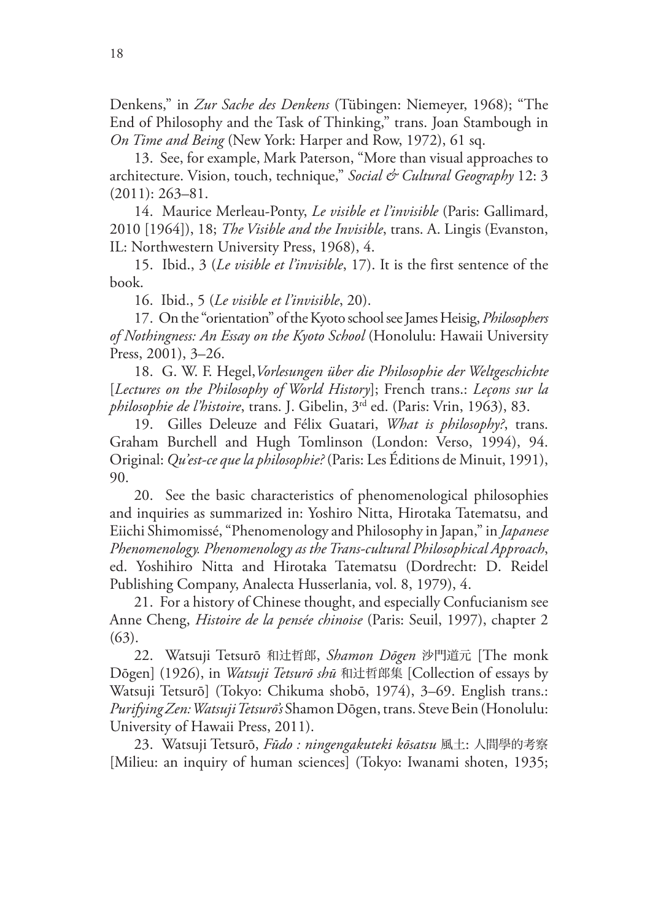Denkens," in *Zur Sache des Denkens* (Tübingen: Niemeyer, 1968); "The End of Philosophy and the Task of Thinking," trans. Joan Stambough in *On Time and Being* (New York: Harper and Row, 1972), 61 sq.

13. See, for example, Mark Paterson, "More than visual approaches to architecture. Vision, touch, technique," *Social & Cultural Geography* 12: 3 (2011): 263–81.

14. Maurice Merleau-Ponty, *Le visible et l'invisible* (Paris: Gallimard, 2010 [1964]), 18; *The Visible and the Invisible*, trans. A. Lingis (Evanston, IL: Northwestern University Press, 1968), 4.

15. Ibid., 3 (*Le visible et l'invisible*, 17). It is the first sentence of the book.

16. Ibid., 5 (*Le visible et l'invisible*, 20).

17. On the "orientation" of the Kyoto school see James Heisig, *Philosophers of Nothingness: An Essay on the Kyoto School* (Honolulu: Hawaii University Press, 2001), 3–26.

18. G. W. F. Hegel,*Vorlesungen über die Philosophie der Weltgeschichte* [*Lectures on the Philosophy of World History*]; French trans.: *Leçons sur la philosophie de l'histoire*, trans. J. Gibelin, 3rd ed. (Paris: Vrin, 1963), 83.

 19. Gilles Deleuze and Félix Guatari, *What is philosophy?*, trans. Graham Burchell and Hugh Tomlinson (London: Verso, 1994), 94. Original: *Qu'est-ce que la philosophie?* (Paris: Les Éditions de Minuit, 1991), 90.

20. See the basic characteristics of phenomenological philosophies and inquiries as summarized in: Yoshiro Nitta, Hirotaka Tatematsu, and Eiichi Shimomissé, "Phenomenology and Philosophy in Japan," in *Japanese Phenomenology. Phenomenology as the Trans-cultural Philosophical Approach*, ed. Yoshihiro Nitta and Hirotaka Tatematsu (Dordrecht: D. Reidel Publishing Company, Analecta Husserlania, vol. 8, 1979), 4.

21. For a history of Chinese thought, and especially Confucianism see Anne Cheng, *Histoire de la pensée chinoise* (Paris: Seuil, 1997), chapter 2 (63).

22. Watsuji Tetsurō 和辻哲郎, *Shamon Dōgen* 沙門道元 [The monk Dōgen] (1926), in *Watsuji Tetsurō shū* 和辻哲郎集 [Collection of essays by Watsuji Tetsurō] (Tokyo: Chikuma shobō, 1974), 3–69. English trans.: *Purifying Zen: Watsuji Tetsurō's* Shamon Dōgen, trans. Steve Bein (Honolulu: University of Hawaii Press, 2011).

23. Watsuji Tetsurō, *Fūdo : ningengakuteki kōsatsu* 風土: 人間學的考察 [Milieu: an inquiry of human sciences] (Tokyo: Iwanami shoten, 1935;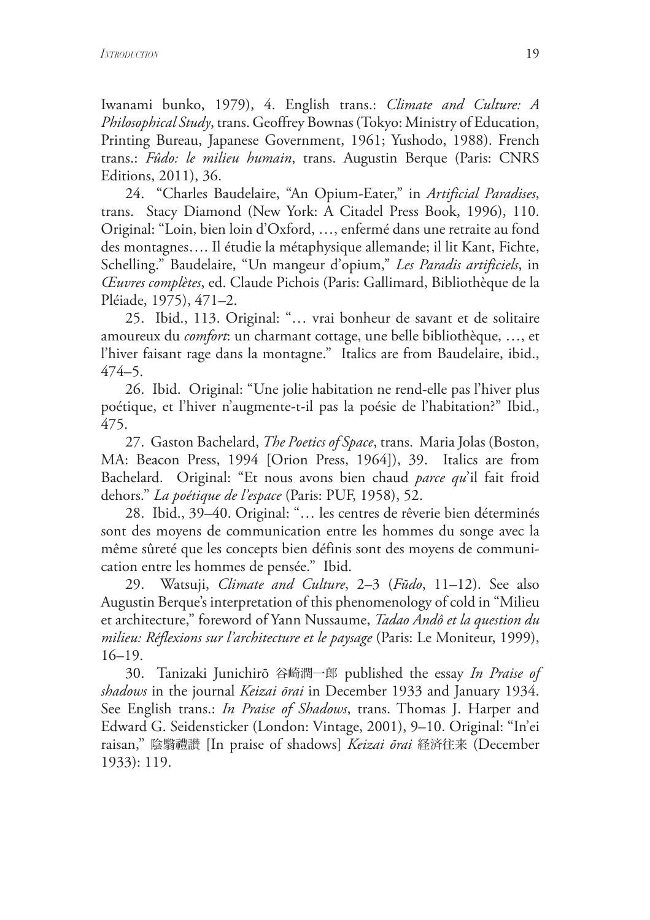Iwanami bunko, 1979), 4. English trans.: *Climate and Culture: A Philosophical Study*, trans. Geoffrey Bownas (Tokyo: Ministry of Education, Printing Bureau, Japanese Government, 1961; Yushodo, 1988). French trans.: *Fûdo: le milieu humain*, trans. Augustin Berque (Paris: CNRS Editions, 2011), 36.

24. "Charles Baudelaire, "An Opium-Eater," in *Artificial Paradises*, trans. Stacy Diamond (New York: A Citadel Press Book, 1996), 110. Original: "Loin, bien loin d'Oxford, …, enfermé dans une retraite au fond des montagnes…. Il étudie la métaphysique allemande; il lit Kant, Fichte, Schelling." Baudelaire, "Un mangeur d'opium," *Les Paradis artificiels*, in *Œuvres complètes*, ed. Claude Pichois (Paris: Gallimard, Bibliothèque de la Pléiade, 1975), 471–2.

25. Ibid., 113. Original: "… vrai bonheur de savant et de solitaire amoureux du *comfort*: un charmant cottage, une belle bibliothèque, …, et l'hiver faisant rage dans la montagne." Italics are from Baudelaire, ibid., 474–5.

26. Ibid. Original: "Une jolie habitation ne rend-elle pas l'hiver plus poétique, et l'hiver n'augmente-t-il pas la poésie de l'habitation?" Ibid., 475.

27. Gaston Bachelard, *The Poetics of Space*, trans. Maria Jolas (Boston, MA: Beacon Press, 1994 [Orion Press, 1964]), 39. Italics are from Bachelard. Original: "Et nous avons bien chaud *parce qu*'il fait froid dehors." *La poétique de l'espace* (Paris: PUF, 1958), 52.

28. Ibid., 39–40. Original: "… les centres de rêverie bien déterminés sont des moyens de communication entre les hommes du songe avec la même sûreté que les concepts bien définis sont des moyens de communication entre les hommes de pensée." Ibid.

29. Watsuji, *Climate and Culture*, 2–3 (*Fūdo*, 11–12). See also Augustin Berque's interpretation of this phenomenology of cold in "Milieu et architecture," foreword of Yann Nussaume, *Tadao Andô et la question du milieu: Réflexions sur l'architecture et le paysage* (Paris: Le Moniteur, 1999), 16–19.

30. Tanizaki Junichirō 谷崎潤一郎 published the essay *In Praise of shadows* in the journal *Keizai ōrai* in December 1933 and January 1934. See English trans.: *In Praise of Shadows*, trans. Thomas J. Harper and Edward G. Seidensticker (London: Vintage, 2001), 9–10. Original: "In'ei raisan," 陰翳禮讃 [In praise of shadows] *Keizai ōrai* 経済往来 (December 1933): 119.